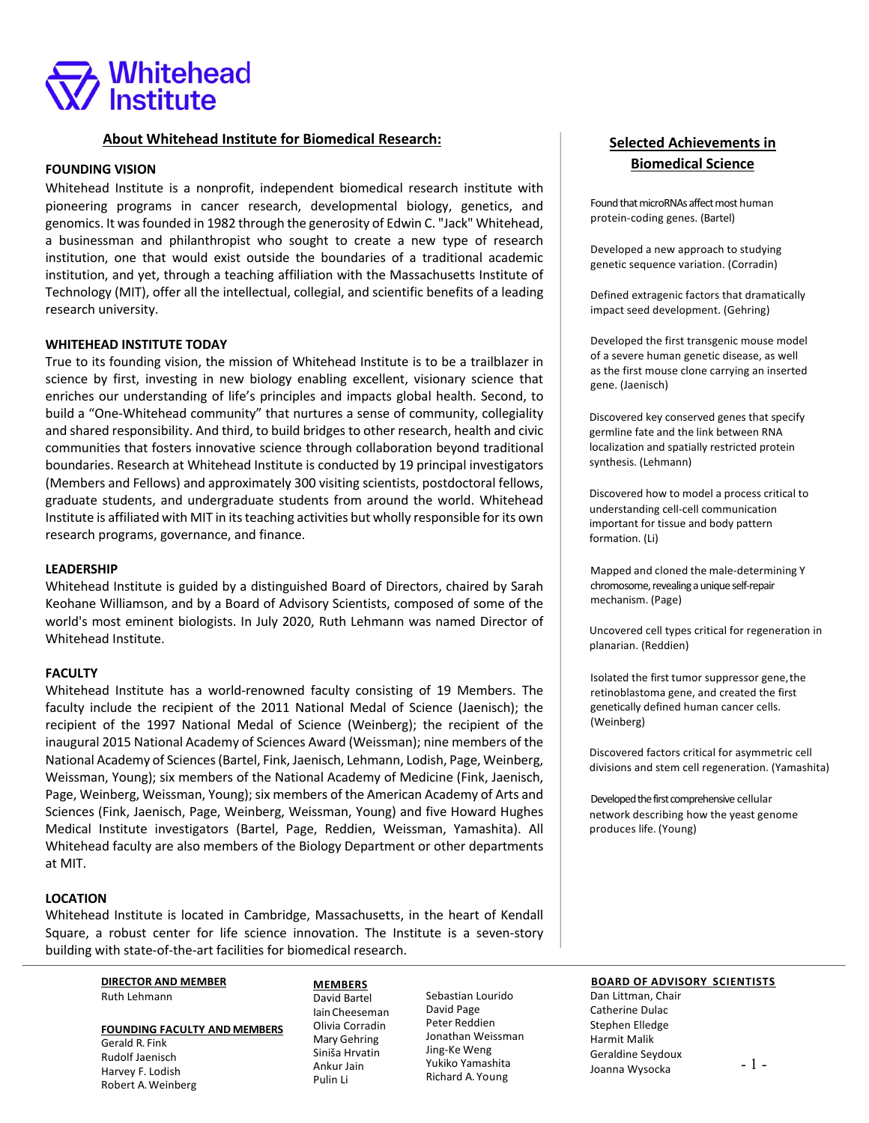

# **About Whitehead Institute for Biomedical Research:**

### **FOUNDING VISION**

Whitehead Institute is a nonprofit, independent biomedical research institute with pioneering programs in cancer research, developmental biology, genetics, and genomics. It was founded in 1982 through the generosity of Edwin C. "Jack" Whitehead, a businessman and philanthropist who sought to create a new type of research institution, one that would exist outside the boundaries of a traditional academic institution, and yet, through a teaching affiliation with the Massachusetts Institute of Technology (MIT), offer all the intellectual, collegial, and scientific benefits of a leading research university.

### **WHITEHEAD INSTITUTE TODAY**

True to its founding vision, the mission of Whitehead Institute is to be a trailblazer in science by first, investing in new biology enabling excellent, visionary science that enriches our understanding of life's principles and impacts global health. Second, to build a "One-Whitehead community" that nurtures a sense of community, collegiality and shared responsibility. And third, to build bridges to other research, health and civic communities that fosters innovative science through collaboration beyond traditional boundaries. Research at Whitehead Institute is conducted by 19 principal investigators (Members and Fellows) and approximately 300 visiting scientists, postdoctoral fellows, graduate students, and undergraduate students from around the world. Whitehead Institute is affiliated with MIT in its teaching activities but wholly responsible for its own research programs, governance, and finance.

### **LEADERSHIP**

Whitehead Institute is guided by a distinguished Board of Directors, chaired by Sarah Keohane Williamson, and by a Board of Advisory Scientists, composed of some of the world's most eminent biologists. In July 2020, Ruth Lehmann was named Director of Whitehead Institute.

### **FACULTY**

Whitehead Institute has a world-renowned faculty consisting of 19 Members. The faculty include the recipient of the 2011 National Medal of Science (Jaenisch); the recipient of the 1997 National Medal of Science (Weinberg); the recipient of the inaugural 2015 National Academy of Sciences Award (Weissman); nine members of the National Academy of Sciences (Bartel, Fink, Jaenisch, Lehmann, Lodish, Page, Weinberg, Weissman, Young); six members of the National Academy of Medicine (Fink, Jaenisch, Page, Weinberg, Weissman, Young); six members of the American Academy of Arts and Sciences (Fink, Jaenisch, Page, Weinberg, Weissman, Young) and five Howard Hughes Medical Institute investigators (Bartel, Page, Reddien, Weissman, Yamashita). All Whitehead faculty are also members of the Biology Department or other departments at MIT.

## **LOCATION**

Whitehead Institute is located in Cambridge, Massachusetts, in the heart of Kendall Square, a robust center for life science innovation. The Institute is a seven-story building with state-of-the-art facilities for biomedical research.

> **DIRECTOR AND MEMBER** Ruth Lehmann

# **FOUNDING FACULTY AND MEMBERS** Gerald R. Fink

Rudolf Jaenisch Harvey F. Lodish Robert A.Weinberg

### **MEMBERS** David Bartel Iain Cheeseman Olivia Corradin Mary Gehring Siniša Hrvatin Ankur Jain Pulin Li

Sebastian Lourido David Page Peter Reddien Jonathan Weissman Jing-Ke Weng Yukiko Yamashita Richard A. Young

# **Selected Achievements in Biomedical Science**

Found that microRNAs affect most human protein-coding genes. (Bartel)

Developed a new approach to studying genetic sequence variation. (Corradin)

Defined extragenic factors that dramatically impact seed development. (Gehring)

Developed the first transgenic mouse model of a severe human genetic disease, as well as the first mouse clone carrying an inserted gene. (Jaenisch)

Discovered key conserved genes that specify germline fate and the link between RNA localization and spatially restricted protein synthesis. (Lehmann)

Discovered how to model a process critical to understanding cell-cell communication important for tissue and body pattern formation. (Li)

Mapped and cloned the male-determining Y chromosome, revealing a unique self-repair mechanism. (Page)

Uncovered cell types critical for regeneration in planarian. (Reddien)

Isolated the first tumor suppressor gene,the retinoblastoma gene, and created the first genetically defined human cancer cells. (Weinberg)

Discovered factors critical for asymmetric cell divisions and stem cell regeneration. (Yamashita)

Developed the first comprehensive cellular network describing how the yeast genome produces life. (Young)

#### **BOARD OF ADVISORY SCIENTISTS**

Dan Littman, Chair Catherine Dulac Stephen Elledge Harmit Malik Geraldine Seydoux Joanna Wysocka